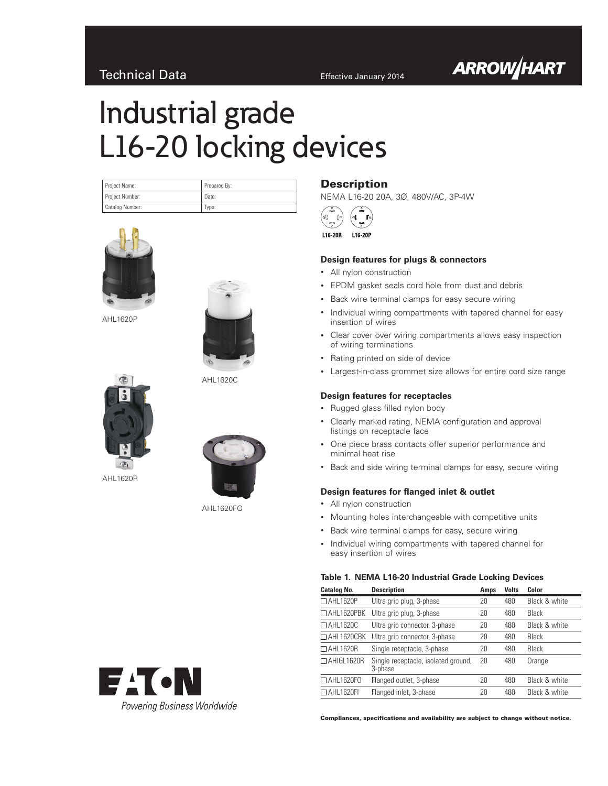# Technical Data **Effective January 2014**

# Industrial grade L16-20 locking devices

| Project Name:   | Prepared By: |
|-----------------|--------------|
| Project Number: | Date:        |
| Catalog Number: | Type:        |



AHL1620P



AHL1620C



AHL1620R



AHL1620FO



## **Description** NEMA L16-20 20A, 3Ø, 480V/AC, 3P-4W

L16-20R L16-20P

## **Design features for plugs & connectors**

- • All nylon construction
- • EPDM gasket seals cord hole from dust and debris
- Back wire terminal clamps for easy secure wiring
- Individual wiring compartments with tapered channel for easy insertion of wires
- Clear cover over wiring compartments allows easy inspection of wiring terminations
- Rating printed on side of device
- • Largest-in-class grommet size allows for entire cord size range

#### **Design features for receptacles**

- • Rugged glass filled nylon body
- Clearly marked rating, NEMA configuration and approval listings on receptacle face
- One piece brass contacts offer superior performance and minimal heat rise
- Back and side wiring terminal clamps for easy, secure wiring

#### **Design features for flanged inlet & outlet**

- All nylon construction
- • Mounting holes interchangeable with competitive units
- Back wire terminal clamps for easy, secure wiring
- • Individual wiring compartments with tapered channel for easy insertion of wires

#### **Table 1. NEMA L16-20 Industrial Grade Locking Devices**

| <b>Catalog No.</b> | <b>Description</b>                             | Amps | <b>Volts</b> | Color         |
|--------------------|------------------------------------------------|------|--------------|---------------|
| □ AHL1620P         | Ultra grip plug, 3-phase                       | 20   | 480          | Black & white |
| $\Box$ AHL1620PBK  | Ultra grip plug, 3-phase                       | 20   | 480          | Black         |
| □ AHL1620C         | Ultra grip connector, 3-phase                  | 20   | 480          | Black & white |
| $\Box$ AHL1620CBK  | Ultra grip connector, 3-phase                  | 20   | 480          | Black         |
| $\Box$ AHL1620R    | Single receptacle, 3-phase                     | 20   | 480          | Black         |
| $\Box$ AHIGL1620R  | Single receptacle, isolated ground,<br>3-phase | 20   | 480          | Orange        |
| $\Box$ AHL1620FO   | Flanged outlet, 3-phase                        | 20   | 480          | Black & white |
| $\Box$ AHL1620FI   | Flanged inlet, 3-phase                         | 20   | 480          | Black & white |

Compliances, specifications and availability are subject to change without notice.



**ARROW/HART**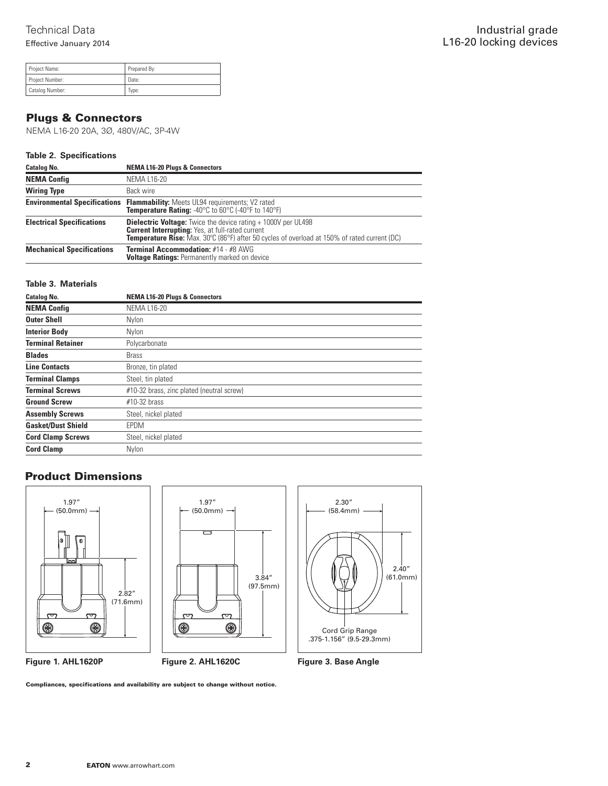| Project Name:   | Prepared By: |
|-----------------|--------------|
| Project Number: | Date:        |
| Catalog Number: | Type:        |

## Plugs & Connectors

NEMA L16-20 20A, 3Ø, 480V/AC, 3P-4W

## **Table 2. Specifications**

| <b>Catalog No.</b>               | <b>NEMA L16-20 Plugs &amp; Connectors</b>                                                                                                                                                                                              |
|----------------------------------|----------------------------------------------------------------------------------------------------------------------------------------------------------------------------------------------------------------------------------------|
| <b>NEMA Config</b>               | <b>NEMA L16-20</b>                                                                                                                                                                                                                     |
| <b>Wiring Type</b>               | Back wire                                                                                                                                                                                                                              |
|                                  | <b>Environmental Specifications Flammability:</b> Meets UL94 requirements; V2 rated<br><b>Temperature Rating:</b> -40°C to 60°C (-40°F to 140°F)                                                                                       |
| <b>Electrical Specifications</b> | <b>Dielectric Voltage:</b> Twice the device rating + 1000V per UL498<br><b>Current Interrupting: Yes, at full-rated current</b><br><b>Temperature Rise:</b> Max. 30°C (86°F) after 50 cycles of overload at 150% of rated current (DC) |
| <b>Mechanical Specifications</b> | Terminal Accommodation: #14 - #8 AWG<br><b>Voltage Ratings: Permanently marked on device</b>                                                                                                                                           |

## **Table 3. Materials**

| <b>Catalog No.</b>        | <b>NEMA L16-20 Plugs &amp; Connectors</b> |
|---------------------------|-------------------------------------------|
| <b>NEMA Config</b>        | <b>NEMA L16-20</b>                        |
| <b>Outer Shell</b>        | Nylon                                     |
| <b>Interior Body</b>      | Nylon                                     |
| <b>Terminal Retainer</b>  | Polycarbonate                             |
| <b>Blades</b>             | <b>Brass</b>                              |
| <b>Line Contacts</b>      | Bronze, tin plated                        |
| <b>Terminal Clamps</b>    | Steel, tin plated                         |
| <b>Terminal Screws</b>    | #10-32 brass, zinc plated (neutral screw) |
| <b>Ground Screw</b>       | $#10-32$ brass                            |
| <b>Assembly Screws</b>    | Steel, nickel plated                      |
| <b>Gasket/Dust Shield</b> | <b>EPDM</b>                               |
| <b>Cord Clamp Screws</b>  | Steel, nickel plated                      |
| <b>Cord Clamp</b>         | Nylon                                     |

# Product Dimensions



Compliances, specifications and availability are subject to change without notice.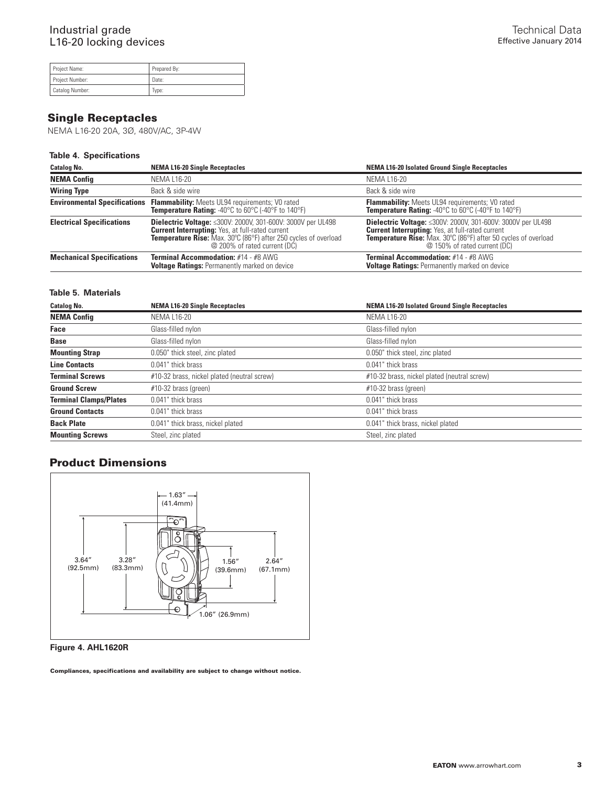| Project Name:   | Prepared By: |
|-----------------|--------------|
| Project Number: | Date:        |
| Catalog Number: | Type:        |

# Single Receptacles

NEMA L16-20 20A, 3Ø, 480V/AC, 3P-4W

## **Table 4. Specifications**

| <b>Catalog No.</b>                  | <b>NEMA L16-20 Single Receptacles</b>                                                                                                                                                                                                   | <b>NEMA L16-20 Isolated Ground Single Receptacles</b>                                                                                                                                                                                  |
|-------------------------------------|-----------------------------------------------------------------------------------------------------------------------------------------------------------------------------------------------------------------------------------------|----------------------------------------------------------------------------------------------------------------------------------------------------------------------------------------------------------------------------------------|
| <b>NEMA Config</b>                  | NEMA L16-20                                                                                                                                                                                                                             | NEMA L16-20                                                                                                                                                                                                                            |
| <b>Wiring Type</b>                  | Back & side wire                                                                                                                                                                                                                        | Back & side wire                                                                                                                                                                                                                       |
| <b>Environmental Specifications</b> | <b>Flammability:</b> Meets UL94 requirements; V0 rated<br><b>Temperature Rating:</b> -40°C to 60°C (-40°F to 140°F)                                                                                                                     | <b>Flammability:</b> Meets UL94 requirements; V0 rated<br><b>Temperature Rating: -40°C to 60°C (-40°F to 140°F)</b>                                                                                                                    |
| <b>Electrical Specifications</b>    | <b>Dielectric Voltage:</b> <300V: 2000V, 301-600V: 3000V per UL498<br><b>Current Interrupting: Yes, at full-rated current</b><br><b>Temperature Rise:</b> Max. 30°C (86°F) after 250 cycles of overload<br>@ 200% of rated current (DC) | <b>Dielectric Voltage:</b> <300V: 2000V, 301-600V: 3000V per UL498<br><b>Current Interrupting: Yes, at full-rated current</b><br><b>Temperature Rise:</b> Max. 30°C (86°F) after 50 cycles of overload<br>@ 150% of rated current (DC) |
| <b>Mechanical Specifications</b>    | <b>Terminal Accommodation: #14 - #8 AWG</b><br><b>Voltage Ratings: Permanently marked on device</b>                                                                                                                                     | <b>Terminal Accommodation: #14 - #8 AWG</b><br><b>Voltage Ratings: Permanently marked on device</b>                                                                                                                                    |

## **Table 5. Materials**

| <b>Catalog No.</b>            | <b>NEMA L16-20 Single Receptacles</b>       | <b>NEMA L16-20 Isolated Ground Single Receptacles</b> |
|-------------------------------|---------------------------------------------|-------------------------------------------------------|
| <b>NEMA Config</b>            | NEMA L16-20                                 | NEMA L16-20                                           |
| Face                          | Glass-filled nylon                          | Glass-filled nylon                                    |
| <b>Base</b>                   | Glass-filled nylon                          | Glass-filled nylon                                    |
| <b>Mounting Strap</b>         | 0.050" thick steel, zinc plated             | 0.050" thick steel, zinc plated                       |
| <b>Line Contacts</b>          | 0.041" thick brass                          | 0.041" thick brass                                    |
| <b>Terminal Screws</b>        | #10-32 brass, nickel plated (neutral screw) | #10-32 brass, nickel plated (neutral screw)           |
| <b>Ground Screw</b>           | $#10-32$ brass (green)                      | $#10-32$ brass (green)                                |
| <b>Terminal Clamps/Plates</b> | 0.041" thick brass                          | 0.041" thick brass                                    |
| <b>Ground Contacts</b>        | 0.041" thick brass                          | 0.041" thick brass                                    |
| <b>Back Plate</b>             | 0.041" thick brass, nickel plated           | 0.041" thick brass, nickel plated                     |
| <b>Mounting Screws</b>        | Steel, zinc plated                          | Steel, zinc plated                                    |

## Product Dimensions



**Figure 4. AHL1620R**

Compliances, specifications and availability are subject to change without notice.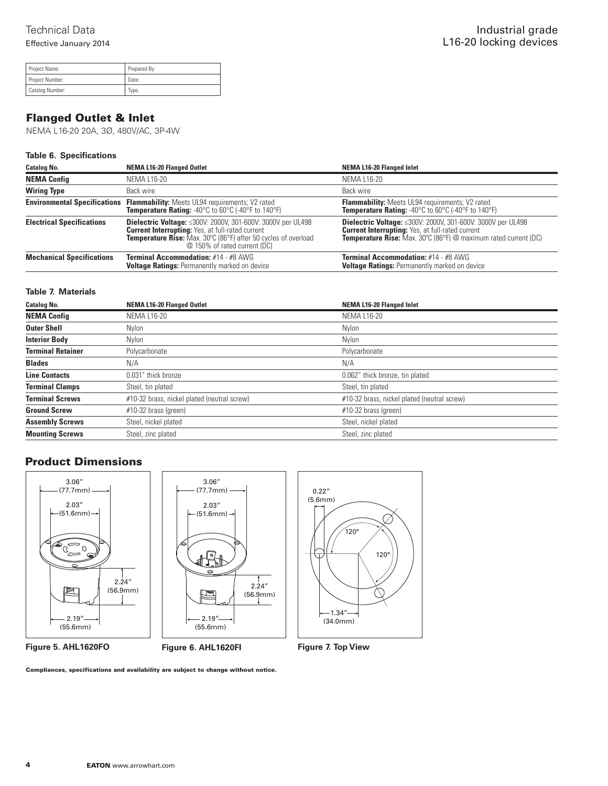| Project Name:   | Prepared By: |
|-----------------|--------------|
| Project Number: | Date:        |
| Catalog Number: | Type:        |

# Flanged Outlet & Inlet

NEMA L16-20 20A, 3Ø, 480V/AC, 3P-4W

## **Table 6. Specifications**

| <b>Catalog No.</b>               | <b>NEMA L16-20 Flanged Outlet</b>                                                                                                                                                                                               | <b>NEMA L16-20 Flanged Inlet</b>                                                                                                                                                                     |
|----------------------------------|---------------------------------------------------------------------------------------------------------------------------------------------------------------------------------------------------------------------------------|------------------------------------------------------------------------------------------------------------------------------------------------------------------------------------------------------|
| <b>NEMA Config</b>               | <b>NEMA L16-20</b>                                                                                                                                                                                                              | <b>NEMA L16-20</b>                                                                                                                                                                                   |
| <b>Wiring Type</b>               | Back wire                                                                                                                                                                                                                       | Back wire                                                                                                                                                                                            |
|                                  | <b>Environmental Specifications Flammability:</b> Meets UL94 requirements; V2 rated <b>Temperature Rating:</b> $-40^{\circ}$ C to $60^{\circ}$ C $(-40^{\circ}$ F to $140^{\circ}$ F)                                           | <b>Flammability:</b> Meets UL94 requirements; V2 rated<br><b>Temperature Rating:</b> -40°C to 60°C (-40°F to 140°F)                                                                                  |
| <b>Electrical Specifications</b> | <b>Dielectric Voltage:</b> <300V: 2000V, 301-600V: 3000V per UL498<br><b>Current Interrupting: Yes, at full-rated current</b><br>Temperature Rise: Max. 30°C (86°F) after 50 cycles of overload<br>@ 150% of rated current (DC) | <b>Dielectric Voltage: &lt; 300V: 2000V, 301-600V: 3000V per UL498</b><br><b>Current Interrupting: Yes, at full-rated current</b><br>Temperature Rise: Max. 30°C (86°F) @ maximum rated current (DC) |
| <b>Mechanical Specifications</b> | <b>Terminal Accommodation: #14 - #8 AWG</b><br><b>Voltage Ratings: Permanently marked on device</b>                                                                                                                             | <b>Terminal Accommodation: #14 - #8 AWG</b><br><b>Voltage Ratings: Permanently marked on device</b>                                                                                                  |

## **Table 7. Materials**

| <b>Catalog No.</b>       | <b>NEMA L16-20 Flanged Outlet</b>           | <b>NEMA L16-20 Flanged Inlet</b>            |
|--------------------------|---------------------------------------------|---------------------------------------------|
| <b>NEMA Config</b>       | <b>NEMA L16-20</b>                          | <b>NEMA L16-20</b>                          |
| <b>Outer Shell</b>       | Nylon                                       | Nylon                                       |
| <b>Interior Body</b>     | Nvlon                                       | <b>Nylon</b>                                |
| <b>Terminal Retainer</b> | Polycarbonate                               | Polycarbonate                               |
| <b>Blades</b>            | N/A                                         | N/A                                         |
| <b>Line Contacts</b>     | 0.031" thick bronze                         | 0.062" thick bronze, tin plated             |
| <b>Terminal Clamps</b>   | Steel, tin plated                           | Steel, tin plated                           |
| <b>Terminal Screws</b>   | #10-32 brass, nickel plated (neutral screw) | #10-32 brass, nickel plated (neutral screw) |
| <b>Ground Screw</b>      | #10-32 brass (green)                        | $#10-32$ brass (green)                      |
| <b>Assembly Screws</b>   | Steel, nickel plated                        | Steel, nickel plated                        |
| <b>Mounting Screws</b>   | Steel, zinc plated                          | Steel, zinc plated                          |

# Product Dimensions



Compliances, specifications and availability are subject to change without notice.